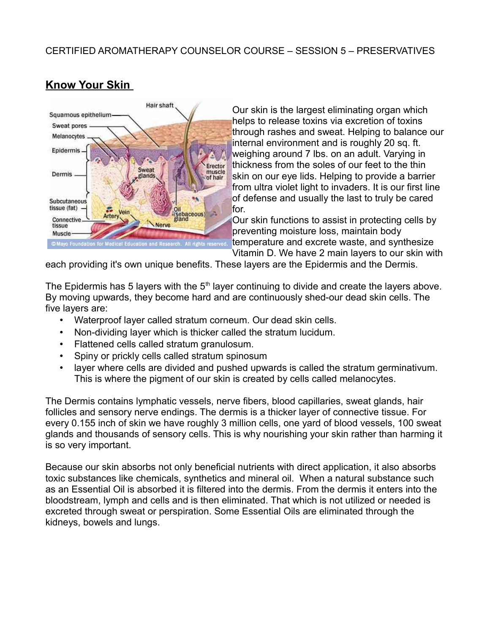

# **Know Your Skin**

Our skin is the largest eliminating organ which helps to release toxins via excretion of toxins through rashes and sweat. Helping to balance our internal environment and is roughly 20 sq. ft. weighing around 7 lbs. on an adult. Varying in thickness from the soles of our feet to the thin skin on our eye lids. Helping to provide a barrier from ultra violet light to invaders. It is our first line of defense and usually the last to truly be cared for.

Our skin functions to assist in protecting cells by preventing moisture loss, maintain body temperature and excrete waste, and synthesize Vitamin D. We have 2 main layers to our skin with

each providing it's own unique benefits. These layers are the Epidermis and the Dermis.

The Epidermis has 5 layers with the  $5<sup>th</sup>$  layer continuing to divide and create the layers above. By moving upwards, they become hard and are continuously shed-our dead skin cells. The five layers are:

- Waterproof layer called stratum corneum. Our dead skin cells.
- Non-dividing layer which is thicker called the stratum lucidum.
- Flattened cells called stratum granulosum.
- Spiny or prickly cells called stratum spinosum
- layer where cells are divided and pushed upwards is called the stratum germinativum. This is where the pigment of our skin is created by cells called melanocytes.

The Dermis contains lymphatic vessels, nerve fibers, blood capillaries, sweat glands, hair follicles and sensory nerve endings. The dermis is a thicker layer of connective tissue. For every 0.155 inch of skin we have roughly 3 million cells, one yard of blood vessels, 100 sweat glands and thousands of sensory cells. This is why nourishing your skin rather than harming it is so very important.

Because our skin absorbs not only beneficial nutrients with direct application, it also absorbs toxic substances like chemicals, synthetics and mineral oil. When a natural substance such as an Essential Oil is absorbed it is filtered into the dermis. From the dermis it enters into the bloodstream, lymph and cells and is then eliminated. That which is not utilized or needed is excreted through sweat or perspiration. Some Essential Oils are eliminated through the kidneys, bowels and lungs.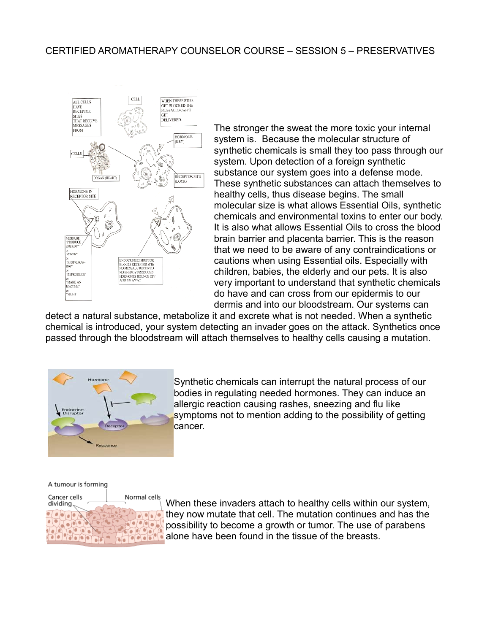

The stronger the sweat the more toxic your internal system is. Because the molecular structure of synthetic chemicals is small they too pass through our system. Upon detection of a foreign synthetic substance our system goes into a defense mode. These synthetic substances can attach themselves to healthy cells, thus disease begins. The small molecular size is what allows Essential Oils, synthetic chemicals and environmental toxins to enter our body. It is also what allows Essential Oils to cross the blood brain barrier and placenta barrier. This is the reason that we need to be aware of any contraindications or cautions when using Essential oils. Especially with children, babies, the elderly and our pets. It is also very important to understand that synthetic chemicals do have and can cross from our epidermis to our dermis and into our bloodstream. Our systems can

detect a natural substance, metabolize it and excrete what is not needed. When a synthetic chemical is introduced, your system detecting an invader goes on the attack. Synthetics once passed through the bloodstream will attach themselves to healthy cells causing a mutation.



Synthetic chemicals can interrupt the natural process of our bodies in regulating needed hormones. They can induce an allergic reaction causing rashes, sneezing and flu like symptoms not to mention adding to the possibility of getting cancer.

A tumour is forming



When these invaders attach to healthy cells within our system, they now mutate that cell. The mutation continues and has the possibility to become a growth or tumor. The use of parabens alone have been found in the tissue of the breasts.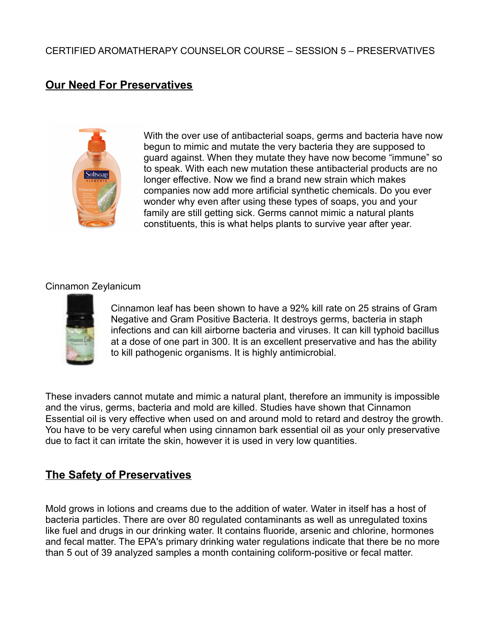# **Our Need For Preservatives**



With the over use of antibacterial soaps, germs and bacteria have now begun to mimic and mutate the very bacteria they are supposed to guard against. When they mutate they have now become "immune" so to speak. With each new mutation these antibacterial products are no longer effective. Now we find a brand new strain which makes companies now add more artificial synthetic chemicals. Do you ever wonder why even after using these types of soaps, you and your family are still getting sick. Germs cannot mimic a natural plants constituents, this is what helps plants to survive year after year.

### Cinnamon Zeylanicum



Cinnamon leaf has been shown to have a 92% kill rate on 25 strains of Gram Negative and Gram Positive Bacteria. It destroys germs, bacteria in staph infections and can kill airborne bacteria and viruses. It can kill typhoid bacillus at a dose of one part in 300. It is an excellent preservative and has the ability to kill pathogenic organisms. It is highly antimicrobial.

These invaders cannot mutate and mimic a natural plant, therefore an immunity is impossible and the virus, germs, bacteria and mold are killed. Studies have shown that Cinnamon Essential oil is very effective when used on and around mold to retard and destroy the growth. You have to be very careful when using cinnamon bark essential oil as your only preservative due to fact it can irritate the skin, however it is used in very low quantities.

# **The Safety of Preservatives**

Mold grows in lotions and creams due to the addition of water. Water in itself has a host of bacteria particles. There are over 80 regulated contaminants as well as unregulated toxins like fuel and drugs in our drinking water. It contains fluoride, arsenic and chlorine, hormones and fecal matter. The EPA's primary drinking water regulations indicate that there be no more than 5 out of 39 analyzed samples a month containing coliform-positive or fecal matter.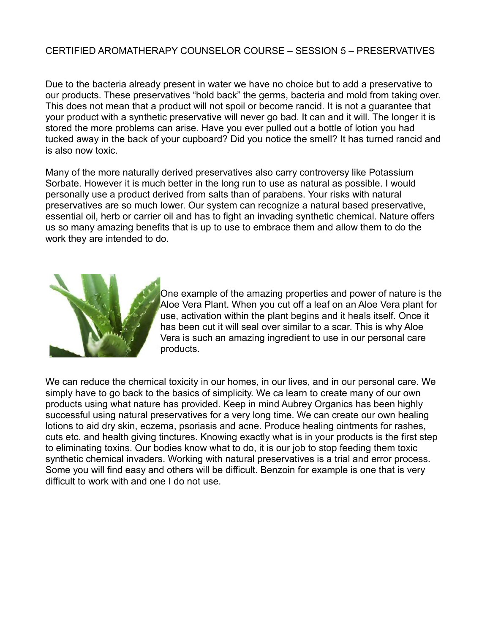Due to the bacteria already present in water we have no choice but to add a preservative to our products. These preservatives "hold back" the germs, bacteria and mold from taking over. This does not mean that a product will not spoil or become rancid. It is not a guarantee that your product with a synthetic preservative will never go bad. It can and it will. The longer it is stored the more problems can arise. Have you ever pulled out a bottle of lotion you had tucked away in the back of your cupboard? Did you notice the smell? It has turned rancid and is also now toxic.

Many of the more naturally derived preservatives also carry controversy like Potassium Sorbate. However it is much better in the long run to use as natural as possible. I would personally use a product derived from salts than of parabens. Your risks with natural preservatives are so much lower. Our system can recognize a natural based preservative, essential oil, herb or carrier oil and has to fight an invading synthetic chemical. Nature offers us so many amazing benefits that is up to use to embrace them and allow them to do the work they are intended to do.



One example of the amazing properties and power of nature is the Aloe Vera Plant. When you cut off a leaf on an Aloe Vera plant for use, activation within the plant begins and it heals itself. Once it has been cut it will seal over similar to a scar. This is why Aloe Vera is such an amazing ingredient to use in our personal care products.

We can reduce the chemical toxicity in our homes, in our lives, and in our personal care. We simply have to go back to the basics of simplicity. We ca learn to create many of our own products using what nature has provided. Keep in mind Aubrey Organics has been highly successful using natural preservatives for a very long time. We can create our own healing lotions to aid dry skin, eczema, psoriasis and acne. Produce healing ointments for rashes, cuts etc. and health giving tinctures. Knowing exactly what is in your products is the first step to eliminating toxins. Our bodies know what to do, it is our job to stop feeding them toxic synthetic chemical invaders. Working with natural preservatives is a trial and error process. Some you will find easy and others will be difficult. Benzoin for example is one that is very difficult to work with and one I do not use.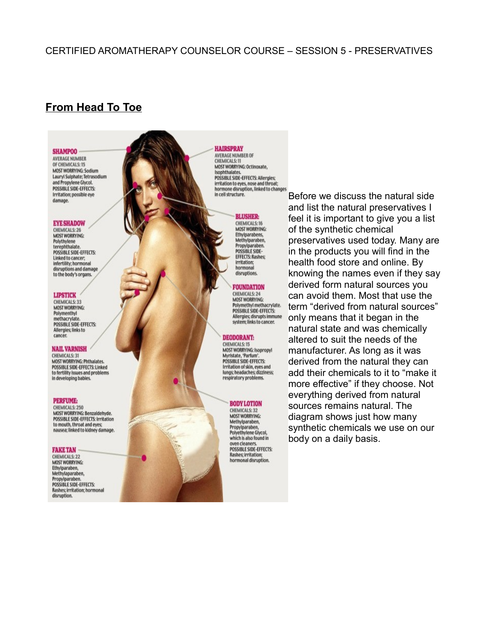# **From Head To Toe**

#### **SHAMPOO**

**AVERAGE NUMBER** OF CHEMICALS: 15 **MOST WORRYING: Sodium** Lauryl Sulphate; Tetrasodium and Propylene Glycol. **POSSIBLE SIDE-EFFECTS:** Irritation: possible eye damage.

#### **EYE SHADOW**

**CHEMICALS: 26 MOST WORRYING:** Polythylene<br>terephthalate POSSIBLE SIDE-EFFECTS: Linked to cancer: infertility; hormonal disruptions and damage to the body's organs.

#### **LIPSTICK**

**CHEMICALS: 33 MOST WORRYING:** Polymenthyl<br>methacrylate. POSSIBLE SIDE-EFFECTS: Allergies; links to cancer.

#### **NAIL VARNISH**

CHEMICALS: 31 MOST WORRYING: Phthalates. POSSIBLE SIDE-EFFECTS: Linked to fertility issues and problems in developing babies.

#### **PERFUME:**

CHEMICALS: 250 MOST WORRYING: Benzaldehyde. POSSIBLE SIDE-EFFECTS: Irritation to mouth, throat and eyes; nausea; linked to kidney damage.

#### **FAKE TAN**

**CHEMICALS: 22 MOST WORRYING:** Ethylparaben, Methylaparaben. Propylparaben. POSSIBLE SIDE-EFFECTS: Rashes; irritation; hormonal disruption.

**HAIRSPRAY AVERAGE NUMBER OF CHEMICALS: 11** MOST WORRYING: Octinoxate, Isophthalates. POSSIBLE SIDE-EFFECTS: Allergies: irritation to eyes, nose and throat; hormone disruption, linked to changes in cell structure.



**MOST WORRYING:** Ethylparabens, Methylparaben, Propylparaben.<br>POSSIBLE SIDE-**EFFECTS: Rashes;** irritation: hormonal disruptions.

#### **FOUNDATION**

**CHEMICALS: 24 MOST WORRYING:** Polymethyl methacrylate.<br>POSSIBLE SIDE-EFFECTS: Allergies; disrupts immune system; links to cancer.

#### **DEODORANT:**

**CHEMICALS: 15** MOST WORRYING: Isopropyl Myristate, 'Parfum'.<br>POSSIBLE SIDE-EFFECTS: Irritation of skin, eyes and lungs; headaches; dizziness; respiratory problems.

> **BODY LOTION** CHEMICALS: 32

**MOST WORRYING:** Methylparaben, Propylparaben,<br>Polyethylene Glycol, which is also found in oven cleaners. POSSIBLE SIDE-EFFECTS: Rashes; irritation;<br>hormonal disruption.

Before we discuss the natural side and list the natural preservatives I feel it is important to give you a list of the synthetic chemical preservatives used today. Many are in the products you will find in the health food store and online. By knowing the names even if they say derived form natural sources you can avoid them. Most that use the term "derived from natural sources" only means that it began in the natural state and was chemically altered to suit the needs of the manufacturer. As long as it was derived from the natural they can add their chemicals to it to "make it more effective" if they choose. Not everything derived from natural sources remains natural. The diagram shows just how many synthetic chemicals we use on our body on a daily basis.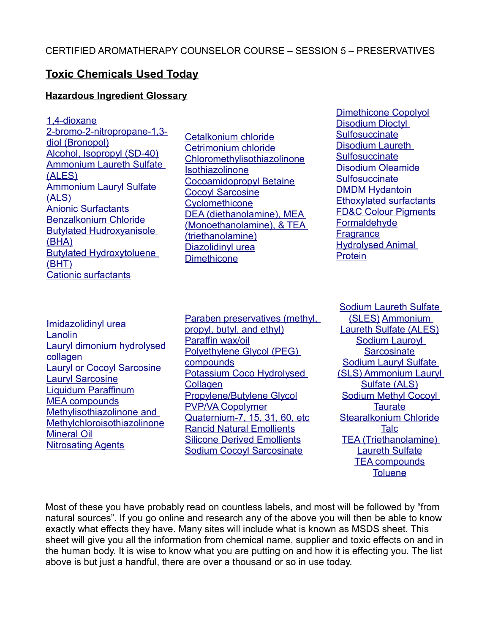# **Toxic Chemicals Used Today**

#### **Hazardous Ingredient Glossary**

<span id="page-5-59"></span><span id="page-5-57"></span><span id="page-5-56"></span><span id="page-5-0"></span>[1,4-dioxane](#page-5-0) [2-bromo-2-nitropropane-1,3](#page-5-59) [diol \(Bronopol\)](#page-5-59) [Alcohol, Isopropyl \(SD-40\)](#page-5-58) [Ammonium Laureth Sulfate](#page-5-57) [\(ALES\)](#page-5-57) [Ammonium Lauryl Sulfate](#page-5-56) [\(ALS\)](#page-5-56) [Anionic Surfactants](#page-5-55) [Benzalkonium Chloride](#page-5-54) [Butylated Hudroxyanisole](#page-5-53) [\(BHA\)](#page-5-53) [Butylated Hydroxytoluene](#page-5-52) [\(BHT\)](#page-5-52) [Cationic surfactants](#page-5-51)

<span id="page-5-58"></span><span id="page-5-55"></span><span id="page-5-54"></span><span id="page-5-47"></span><span id="page-5-45"></span><span id="page-5-44"></span>[Cetalkonium chloride](#page-5-50) [Cetrimonium chloride](#page-5-49) [Chloromethylisothiazolinone](#page-5-48) [Isothiazolinone](#page-5-47) [Cocoamidopropyl Betaine](#page-5-46) **[Cocoyl Sarcosine](#page-5-45) [Cyclomethicone](#page-5-44)** [DEA \(diethanolamine\), MEA](#page-5-43) [\(Monoethanolamine\), & TEA](#page-5-43) [\(triethanolamine\)](#page-5-43) [Diazolidinyl urea](#page-5-42) **[Dimethicone](#page-5-41)** 

<span id="page-5-50"></span><span id="page-5-49"></span><span id="page-5-48"></span><span id="page-5-46"></span><span id="page-5-40"></span><span id="page-5-39"></span><span id="page-5-38"></span><span id="page-5-37"></span><span id="page-5-36"></span><span id="page-5-35"></span>[Dimethicone Copolyol](#page-5-40) [Disodium Dioctyl](#page-5-39) **[Sulfosuccinate](#page-5-39)** [Disodium Laureth](#page-5-38) **[Sulfosuccinate](#page-5-38)** [Disodium Oleamide](#page-5-37) **[Sulfosuccinate](#page-5-37)** [DMDM Hydantoin](#page-5-36) [Ethoxylated surfactants](#page-5-35) [FD&C Colour Pigments](#page-5-34) [Formaldehyde](#page-5-33) **[Fragrance](#page-5-32) [Hydrolysed Animal](#page-5-31) [Protein](#page-5-31)** 

<span id="page-5-53"></span><span id="page-5-52"></span><span id="page-5-29"></span><span id="page-5-28"></span>[Imidazolidinyl urea](#page-5-30) [Lanolin](#page-5-29) [Lauryl dimonium hydrolysed](#page-5-28) [collagen](#page-5-28) [Lauryl or Cocoyl Sarcosine](#page-5-27) [Lauryl Sarcosine](#page-5-26) [Liquidum Paraffinum](#page-5-25) [MEA compounds](#page-5-24) [Methylisothiazolinone and](#page-5-23) [Methylchloroisothiazolinone](#page-5-23) [Mineral Oil](#page-5-22) [Nitrosating Agents](#page-5-21)

<span id="page-5-51"></span><span id="page-5-42"></span><span id="page-5-41"></span><span id="page-5-30"></span><span id="page-5-27"></span><span id="page-5-26"></span><span id="page-5-25"></span><span id="page-5-24"></span><span id="page-5-23"></span><span id="page-5-19"></span><span id="page-5-18"></span><span id="page-5-17"></span><span id="page-5-15"></span>[Paraben preservatives \(methyl,](#page-5-20) [propyl, butyl, and ethyl\)](#page-5-20) [Paraffin wax/oil](#page-5-19) [Polyethylene Glycol \(PEG\)](#page-5-18) **[compounds](#page-5-18)** [Potassium Coco Hydrolysed](#page-5-17) **[Collagen](#page-5-17)** [Propylene/Butylene Glycol](#page-5-16) [PVP/VA Copolymer](#page-5-15) [Quaternium-7, 15, 31, 60, etc](#page-5-14) [Rancid Natural Emollients](#page-5-13) [Silicone Derived Emollients](#page-5-12) [Sodium Cocoyl Sarcosinate](#page-5-11)

<span id="page-5-43"></span><span id="page-5-34"></span><span id="page-5-33"></span><span id="page-5-32"></span><span id="page-5-31"></span><span id="page-5-20"></span><span id="page-5-16"></span><span id="page-5-14"></span><span id="page-5-13"></span><span id="page-5-12"></span><span id="page-5-11"></span><span id="page-5-10"></span><span id="page-5-9"></span><span id="page-5-8"></span><span id="page-5-7"></span><span id="page-5-6"></span><span id="page-5-5"></span><span id="page-5-4"></span><span id="page-5-3"></span><span id="page-5-2"></span><span id="page-5-1"></span>[Sodium Laureth Sulfate](#page-5-10) [\(SLES\)](#page-5-10) [Ammonium](#page-5-9) [Laureth Sulfate \(ALES\)](#page-5-9) [Sodium Lauroyl](#page-5-8) **[Sarcosinate](#page-5-8)** [Sodium Lauryl Sulfate](#page-5-7) [\(SLS\) Ammonium Lauryl](#page-5-7) [Sulfate \(ALS\)](#page-5-7) [Sodium Methyl Cocoyl](#page-5-6) **[Taurate](#page-5-6)** [Stearalkonium Chloride](#page-5-5) [Talc](#page-5-4) [TEA \(Triethanolamine\)](#page-5-3) [Laureth Sulfate](#page-5-3) [TEA compounds](#page-5-2) **[Toluene](#page-5-1)** 

<span id="page-5-22"></span><span id="page-5-21"></span>Most of these you have probably read on countless labels, and most will be followed by "from natural sources". If you go online and research any of the above you will then be able to know exactly what effects they have. Many sites will include what is known as MSDS sheet. This sheet will give you all the information from chemical name, supplier and toxic effects on and in the human body. It is wise to know what you are putting on and how it is effecting you. The list above is but just a handful, there are over a thousand or so in use today.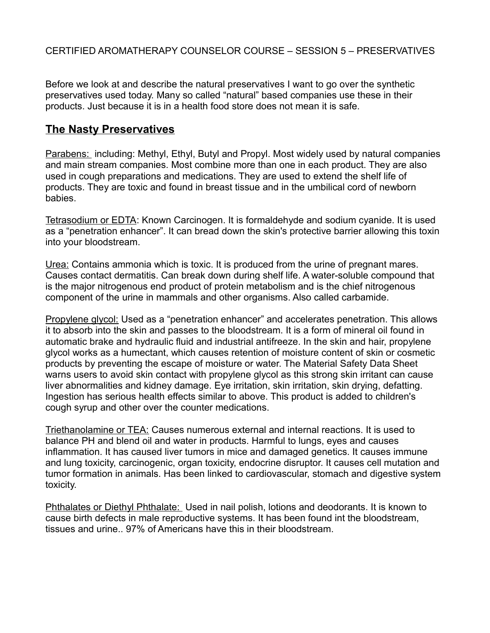Before we look at and describe the natural preservatives I want to go over the synthetic preservatives used today. Many so called "natural" based companies use these in their products. Just because it is in a health food store does not mean it is safe.

# **The Nasty Preservatives**

Parabens: including: Methyl, Ethyl, Butyl and Propyl. Most widely used by natural companies and main stream companies. Most combine more than one in each product. They are also used in cough preparations and medications. They are used to extend the shelf life of products. They are toxic and found in breast tissue and in the umbilical cord of newborn babies.

Tetrasodium or EDTA: Known Carcinogen. It is formaldehyde and sodium cyanide. It is used as a "penetration enhancer". It can bread down the skin's protective barrier allowing this toxin into your bloodstream.

Urea: Contains ammonia which is toxic. It is produced from the urine of pregnant mares. Causes contact dermatitis. Can break down during shelf life. A water-soluble compound that is the major nitrogenous end product of protein metabolism and is the chief nitrogenous component of the urine in mammals and other organisms. Also called carbamide.

Propylene glycol: Used as a "penetration enhancer" and accelerates penetration. This allows it to absorb into the skin and passes to the bloodstream. It is a form of mineral oil found in automatic brake and hydraulic fluid and industrial antifreeze. In the skin and hair, propylene glycol works as a humectant, which causes retention of moisture content of skin or cosmetic products by preventing the escape of moisture or water. The Material Safety Data Sheet warns users to avoid skin contact with propylene glycol as this strong skin irritant can cause liver abnormalities and kidney damage. Eye irritation, skin irritation, skin drying, defatting. Ingestion has serious health effects similar to above. This product is added to children's cough syrup and other over the counter medications.

Triethanolamine or TEA: Causes numerous external and internal reactions. It is used to balance PH and blend oil and water in products. Harmful to lungs, eyes and causes inflammation. It has caused liver tumors in mice and damaged genetics. It causes immune and lung toxicity, carcinogenic, organ toxicity, endocrine disruptor. It causes cell mutation and tumor formation in animals. Has been linked to cardiovascular, stomach and digestive system toxicity.

Phthalates or Diethyl Phthalate: Used in nail polish, lotions and deodorants. It is known to cause birth defects in male reproductive systems. It has been found int the bloodstream, tissues and urine.. 97% of Americans have this in their bloodstream.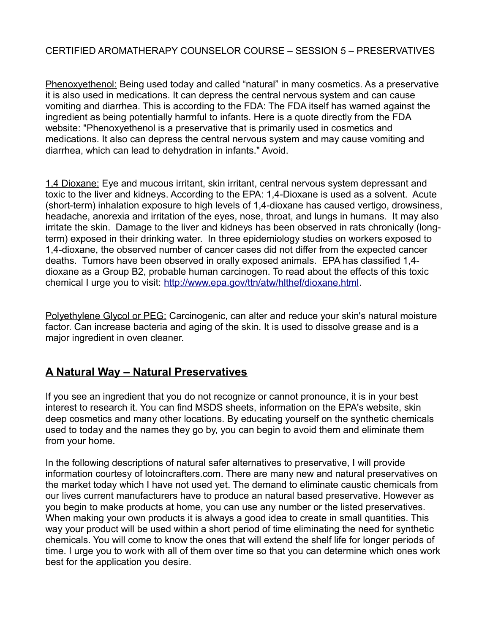Phenoxyethenol: Being used today and called "natural" in many cosmetics. As a preservative it is also used in medications. It can depress the central nervous system and can cause vomiting and diarrhea. This is according to the FDA: The FDA itself has warned against the ingredient as being potentially harmful to infants. Here is a quote directly from the FDA website: "Phenoxyethenol is a preservative that is primarily used in cosmetics and medications. It also can depress the central nervous system and may cause vomiting and diarrhea, which can lead to dehydration in infants." Avoid.

1,4 Dioxane: Eye and mucous irritant, skin irritant, central nervous system depressant and toxic to the liver and kidneys. According to the EPA: 1,4-Dioxane is used as a solvent. Acute (short-term) inhalation exposure to high levels of 1,4-dioxane has caused vertigo, drowsiness, headache, anorexia and irritation of the eyes, nose, throat, and lungs in humans. It may also irritate the skin. Damage to the liver and kidneys has been observed in rats chronically (longterm) exposed in their drinking water. In three epidemiology studies on workers exposed to 1,4-dioxane, the observed number of cancer cases did not differ from the expected cancer deaths. Tumors have been observed in orally exposed animals. EPA has classified 1,4 dioxane as a Group B2, probable human carcinogen. To read about the effects of this toxic chemical I urge you to visit: [http://www.epa.gov/ttn/atw/hlthef/dioxane.html.](http://www.epa.gov/ttn/atw/hlthef/dioxane.html)

Polyethylene Glycol or PEG: Carcinogenic, can alter and reduce your skin's natural moisture factor. Can increase bacteria and aging of the skin. It is used to dissolve grease and is a major ingredient in oven cleaner.

# **A Natural Way – Natural Preservatives**

If you see an ingredient that you do not recognize or cannot pronounce, it is in your best interest to research it. You can find MSDS sheets, information on the EPA's website, skin deep cosmetics and many other locations. By educating yourself on the synthetic chemicals used to today and the names they go by, you can begin to avoid them and eliminate them from your home.

In the following descriptions of natural safer alternatives to preservative, I will provide information courtesy of lotoincrafters.com. There are many new and natural preservatives on the market today which I have not used yet. The demand to eliminate caustic chemicals from our lives current manufacturers have to produce an natural based preservative. However as you begin to make products at home, you can use any number or the listed preservatives. When making your own products it is always a good idea to create in small quantities. This way your product will be used within a short period of time eliminating the need for synthetic chemicals. You will come to know the ones that will extend the shelf life for longer periods of time. I urge you to work with all of them over time so that you can determine which ones work best for the application you desire.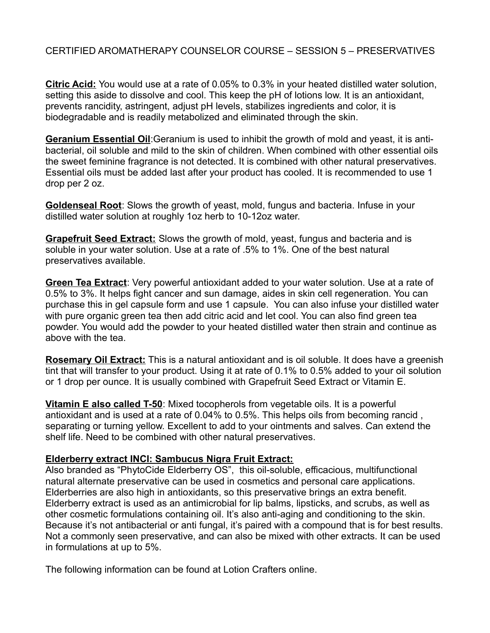**Citric Acid:** You would use at a rate of 0.05% to 0.3% in your heated distilled water solution, setting this aside to dissolve and cool. This keep the pH of lotions low. It is an antioxidant, prevents rancidity, astringent, adjust pH levels, stabilizes ingredients and color, it is biodegradable and is readily metabolized and eliminated through the skin.

**Geranium Essential Oil**:Geranium is used to inhibit the growth of mold and yeast, it is antibacterial, oil soluble and mild to the skin of children. When combined with other essential oils the sweet feminine fragrance is not detected. It is combined with other natural preservatives. Essential oils must be added last after your product has cooled. It is recommended to use 1 drop per 2 oz.

**Goldenseal Root**: Slows the growth of yeast, mold, fungus and bacteria. Infuse in your distilled water solution at roughly 1oz herb to 10-12oz water.

**Grapefruit Seed Extract:** Slows the growth of mold, yeast, fungus and bacteria and is soluble in your water solution. Use at a rate of .5% to 1%. One of the best natural preservatives available.

**Green Tea Extract**: Very powerful antioxidant added to your water solution. Use at a rate of 0.5% to 3%. It helps fight cancer and sun damage, aides in skin cell regeneration. You can purchase this in gel capsule form and use 1 capsule. You can also infuse your distilled water with pure organic green tea then add citric acid and let cool. You can also find green tea powder. You would add the powder to your heated distilled water then strain and continue as above with the tea.

**Rosemary Oil Extract:** This is a natural antioxidant and is oil soluble. It does have a greenish tint that will transfer to your product. Using it at rate of 0.1% to 0.5% added to your oil solution or 1 drop per ounce. It is usually combined with Grapefruit Seed Extract or Vitamin E.

**Vitamin E also called T-50**: Mixed tocopherols from vegetable oils. It is a powerful antioxidant and is used at a rate of 0.04% to 0.5%. This helps oils from becoming rancid , separating or turning yellow. Excellent to add to your ointments and salves. Can extend the shelf life. Need to be combined with other natural preservatives.

### **Elderberry extract INCI: Sambucus Nigra Fruit Extract:**

Also branded as "PhytoCide Elderberry OS", this oil-soluble, efficacious, multifunctional natural alternate preservative can be used in cosmetics and personal care applications. Elderberries are also high in antioxidants, so this preservative brings an extra benefit. Elderberry extract is used as an antimicrobial for lip balms, lipsticks, and scrubs, as well as other cosmetic formulations containing oil. It's also anti-aging and conditioning to the skin. Because it's not antibacterial or anti fungal, it's paired with a compound that is for best results. Not a commonly seen preservative, and can also be mixed with other extracts. It can be used in formulations at up to 5%.

The following information can be found at Lotion Crafters online.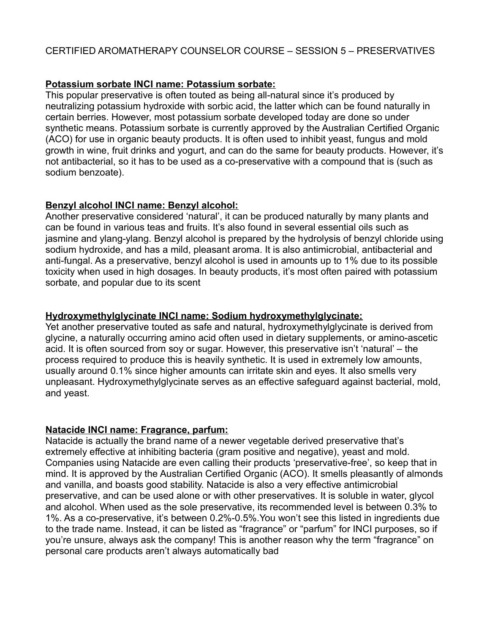### **Potassium sorbate INCI name: Potassium sorbate:**

This popular preservative is often touted as being all-natural since it's produced by neutralizing potassium hydroxide with sorbic acid, the latter which can be found naturally in certain berries. However, most potassium sorbate developed today are done so under synthetic means. Potassium sorbate is currently approved by the Australian Certified Organic (ACO) for use in organic beauty products. It is often used to inhibit yeast, fungus and mold growth in wine, fruit drinks and yogurt, and can do the same for beauty products. However, it's not antibacterial, so it has to be used as a co-preservative with a compound that is (such as sodium benzoate).

### **Benzyl alcohol INCI name: Benzyl alcohol:**

Another preservative considered 'natural', it can be produced naturally by many plants and can be found in various teas and fruits. It's also found in several essential oils such as jasmine and ylang-ylang. Benzyl alcohol is prepared by the hydrolysis of benzyl chloride using sodium hydroxide, and has a mild, pleasant aroma. It is also antimicrobial, antibacterial and anti-fungal. As a preservative, benzyl alcohol is used in amounts up to 1% due to its possible toxicity when used in high dosages. In beauty products, it's most often paired with potassium sorbate, and popular due to its scent

### **Hydroxymethylglycinate INCI name: Sodium hydroxymethylglycinate:**

Yet another preservative touted as safe and natural, hydroxymethylglycinate is derived from glycine, a naturally occurring amino acid often used in dietary supplements, or amino-ascetic acid. It is often sourced from soy or sugar. However, this preservative isn't 'natural' – the process required to produce this is heavily synthetic. It is used in extremely low amounts, usually around 0.1% since higher amounts can irritate skin and eyes. It also smells very unpleasant. Hydroxymethylglycinate serves as an effective safeguard against bacterial, mold, and yeast.

#### **Natacide INCI name: Fragrance, parfum:**

Natacide is actually the brand name of a newer vegetable derived preservative that's extremely effective at inhibiting bacteria (gram positive and negative), yeast and mold. Companies using Natacide are even calling their products 'preservative-free', so keep that in mind. It is approved by the Australian Certified Organic (ACO). It smells pleasantly of almonds and vanilla, and boasts good stability. Natacide is also a very effective antimicrobial preservative, and can be used alone or with other preservatives. It is soluble in water, glycol and alcohol. When used as the sole preservative, its recommended level is between 0.3% to 1%. As a co-preservative, it's between 0.2%-0.5%.You won't see this listed in ingredients due to the trade name. Instead, it can be listed as "fragrance" or "parfum" for INCI purposes, so if you're unsure, always ask the company! This is another reason why the term "fragrance" on personal care products aren't always automatically bad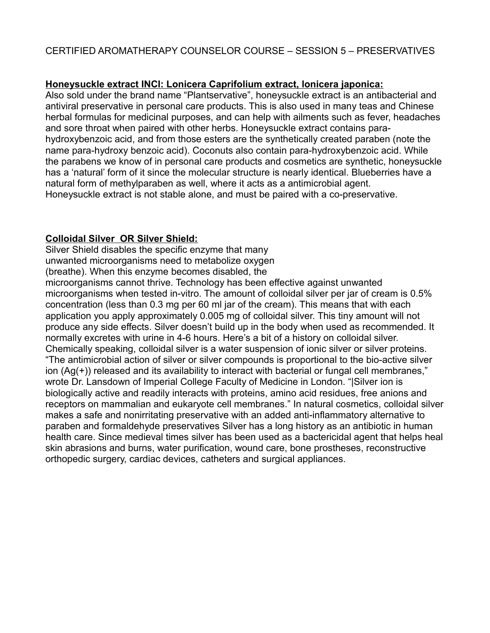### **Honeysuckle extract INCI: Lonicera Caprifolium extract, lonicera japonica:**

Also sold under the brand name "Plantservative", honeysuckle extract is an antibacterial and antiviral preservative in personal care products. This is also used in many teas and Chinese herbal formulas for medicinal purposes, and can help with ailments such as fever, headaches and sore throat when paired with other herbs. Honeysuckle extract contains parahydroxybenzoic acid, and from those esters are the synthetically created paraben (note the name para-hydroxy benzoic acid). Coconuts also contain para-hydroxybenzoic acid. While the parabens we know of in personal care products and cosmetics are synthetic, honeysuckle has a 'natural' form of it since the molecular structure is nearly identical. Blueberries have a natural form of methylparaben as well, where it acts as a antimicrobial agent. Honeysuckle extract is not stable alone, and must be paired with a co-preservative.

#### **Colloidal Silver OR Silver Shield:**

Silver Shield disables the specific enzyme that many unwanted microorganisms need to metabolize oxygen (breathe). When this enzyme becomes disabled, the microorganisms cannot thrive. Technology has been effective against unwanted microorganisms when tested in-vitro. The amount of colloidal silver per jar of cream is 0.5% concentration (less than 0.3 mg per 60 ml jar of the cream). This means that with each application you apply approximately 0.005 mg of colloidal silver. This tiny amount will not produce any side effects. Silver doesn't build up in the body when used as recommended. It normally excretes with urine in 4-6 hours. Here's a bit of a history on colloidal silver. Chemically speaking, colloidal silver is a water suspension of ionic silver or silver proteins. "The antimicrobial action of silver or silver compounds is proportional to the bio-active silver ion (Ag(+)) released and its availability to interact with bacterial or fungal cell membranes," wrote Dr. Lansdown of Imperial College Faculty of Medicine in London. "|Silver ion is biologically active and readily interacts with proteins, amino acid residues, free anions and receptors on mammalian and eukaryote cell membranes." In natural cosmetics, colloidal silver makes a safe and nonirritating preservative with an added anti-inflammatory alternative to paraben and formaldehyde preservatives Silver has a long history as an antibiotic in human health care. Since medieval times silver has been used as a bactericidal agent that helps heal skin abrasions and burns, water purification, wound care, bone prostheses, reconstructive orthopedic surgery, cardiac devices, catheters and surgical appliances.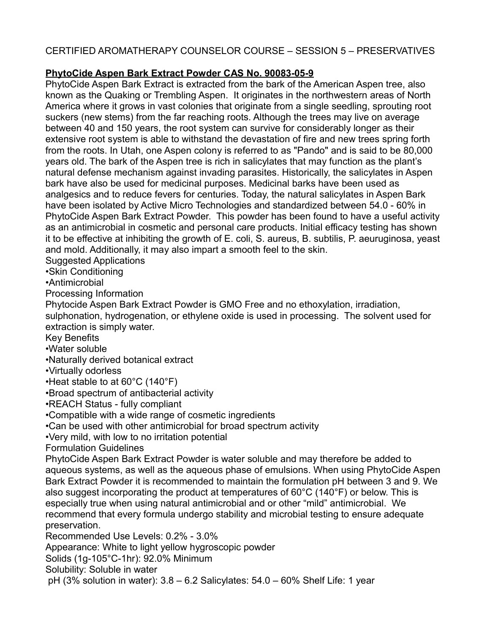# **PhytoCide Aspen Bark Extract Powder CAS No. 90083-05-9**

PhytoCide Aspen Bark Extract is extracted from the bark of the American Aspen tree, also known as the Quaking or Trembling Aspen. It originates in the northwestern areas of North America where it grows in vast colonies that originate from a single seedling, sprouting root suckers (new stems) from the far reaching roots. Although the trees may live on average between 40 and 150 years, the root system can survive for considerably longer as their extensive root system is able to withstand the devastation of fire and new trees spring forth from the roots. In Utah, one Aspen colony is referred to as "Pando" and is said to be 80,000 years old. The bark of the Aspen tree is rich in salicylates that may function as the plant's natural defense mechanism against invading parasites. Historically, the salicylates in Aspen bark have also be used for medicinal purposes. Medicinal barks have been used as analgesics and to reduce fevers for centuries. Today, the natural salicylates in Aspen Bark have been isolated by Active Micro Technologies and standardized between 54.0 - 60% in PhytoCide Aspen Bark Extract Powder. This powder has been found to have a useful activity as an antimicrobial in cosmetic and personal care products. Initial efficacy testing has shown it to be effective at inhibiting the growth of E. coli, S. aureus, B. subtilis, P. aeuruginosa, yeast and mold. Additionally, it may also impart a smooth feel to the skin.

Suggested Applications

•Skin Conditioning

•Antimicrobial

Processing Information

Phytocide Aspen Bark Extract Powder is GMO Free and no ethoxylation, irradiation, sulphonation, hydrogenation, or ethylene oxide is used in processing. The solvent used for extraction is simply water.

Key Benefits

•Water soluble

•Naturally derived botanical extract

•Virtually odorless

•Heat stable to at 60°C (140°F)

•Broad spectrum of antibacterial activity

•REACH Status - fully compliant

•Compatible with a wide range of cosmetic ingredients

•Can be used with other antimicrobial for broad spectrum activity

•Very mild, with low to no irritation potential

Formulation Guidelines

PhytoCide Aspen Bark Extract Powder is water soluble and may therefore be added to aqueous systems, as well as the aqueous phase of emulsions. When using PhytoCide Aspen Bark Extract Powder it is recommended to maintain the formulation pH between 3 and 9. We also suggest incorporating the product at temperatures of  $60^{\circ}$ C (140 $^{\circ}$ F) or below. This is especially true when using natural antimicrobial and or other "mild" antimicrobial. We recommend that every formula undergo stability and microbial testing to ensure adequate preservation.

Recommended Use Levels: 0.2% - 3.0%

Appearance: White to light yellow hygroscopic powder

Solids (1g-105°C-1hr): 92.0% Minimum

Solubility: Soluble in water

pH (3% solution in water): 3.8 – 6.2 Salicylates: 54.0 – 60% Shelf Life: 1 year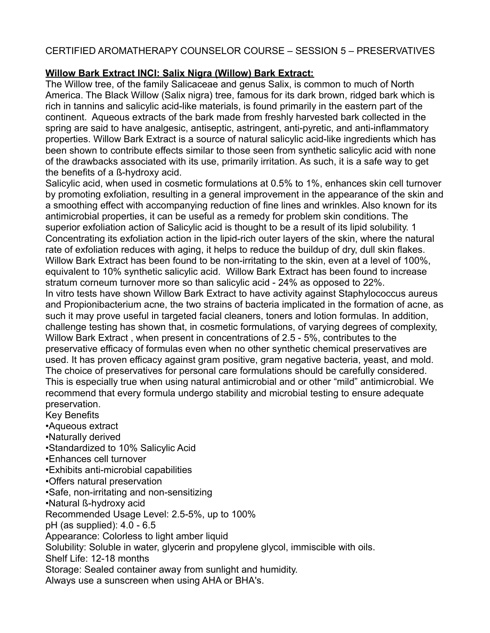# **Willow Bark Extract INCI: Salix Nigra (Willow) Bark Extract:**

The Willow tree, of the family Salicaceae and genus Salix, is common to much of North America. The Black Willow (Salix nigra) tree, famous for its dark brown, ridged bark which is rich in tannins and salicylic acid-like materials, is found primarily in the eastern part of the continent. Aqueous extracts of the bark made from freshly harvested bark collected in the spring are said to have analgesic, antiseptic, astringent, anti-pyretic, and anti-inflammatory properties. Willow Bark Extract is a source of natural salicylic acid-like ingredients which has been shown to contribute effects similar to those seen from synthetic salicylic acid with none of the drawbacks associated with its use, primarily irritation. As such, it is a safe way to get the benefits of a ß-hydroxy acid.

Salicylic acid, when used in cosmetic formulations at 0.5% to 1%, enhances skin cell turnover by promoting exfoliation, resulting in a general improvement in the appearance of the skin and a smoothing effect with accompanying reduction of fine lines and wrinkles. Also known for its antimicrobial properties, it can be useful as a remedy for problem skin conditions. The superior exfoliation action of Salicylic acid is thought to be a result of its lipid solubility. 1 Concentrating its exfoliation action in the lipid-rich outer layers of the skin, where the natural rate of exfoliation reduces with aging, it helps to reduce the buildup of dry, dull skin flakes. Willow Bark Extract has been found to be non-irritating to the skin, even at a level of 100%, equivalent to 10% synthetic salicylic acid. Willow Bark Extract has been found to increase stratum corneum turnover more so than salicylic acid - 24% as opposed to 22%. In vitro tests have shown Willow Bark Extract to have activity against Staphylococcus aureus and Propionibacterium acne, the two strains of bacteria implicated in the formation of acne, as such it may prove useful in targeted facial cleaners, toners and lotion formulas. In addition, challenge testing has shown that, in cosmetic formulations, of varying degrees of complexity, Willow Bark Extract , when present in concentrations of 2.5 - 5%, contributes to the preservative efficacy of formulas even when no other synthetic chemical preservatives are used. It has proven efficacy against gram positive, gram negative bacteria, yeast, and mold. The choice of preservatives for personal care formulations should be carefully considered. This is especially true when using natural antimicrobial and or other "mild" antimicrobial. We recommend that every formula undergo stability and microbial testing to ensure adequate preservation.

Key Benefits

•Aqueous extract

•Naturally derived

•Standardized to 10% Salicylic Acid

•Enhances cell turnover

•Exhibits anti-microbial capabilities

•Offers natural preservation

•Safe, non-irritating and non-sensitizing

•Natural ß-hydroxy acid

Recommended Usage Level: 2.5-5%, up to 100%

pH (as supplied): 4.0 - 6.5

Appearance: Colorless to light amber liquid

Solubility: Soluble in water, glycerin and propylene glycol, immiscible with oils.

Shelf Life: 12-18 months

Storage: Sealed container away from sunlight and humidity.

Always use a sunscreen when using AHA or BHA's.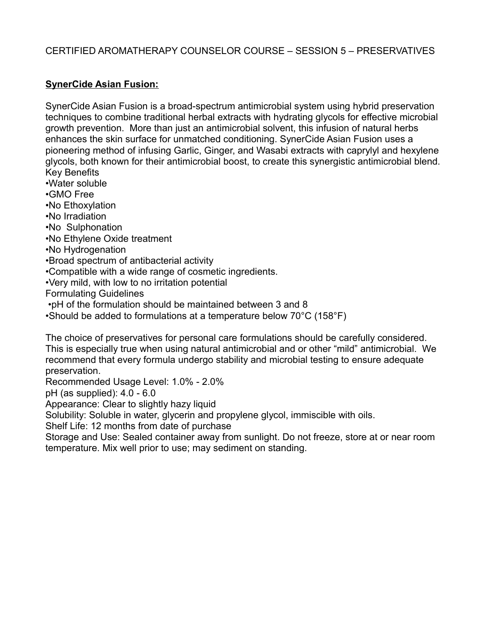## **SynerCide Asian Fusion:**

SynerCide Asian Fusion is a broad-spectrum antimicrobial system using hybrid preservation techniques to combine traditional herbal extracts with hydrating glycols for effective microbial growth prevention. More than just an antimicrobial solvent, this infusion of natural herbs enhances the skin surface for unmatched conditioning. SynerCide Asian Fusion uses a pioneering method of infusing Garlic, Ginger, and Wasabi extracts with caprylyl and hexylene glycols, both known for their antimicrobial boost, to create this synergistic antimicrobial blend. Key Benefits

•Water soluble

•GMO Free

•No Ethoxylation

•No Irradiation

•No Sulphonation

•No Ethylene Oxide treatment

•No Hydrogenation

•Broad spectrum of antibacterial activity

•Compatible with a wide range of cosmetic ingredients.

•Very mild, with low to no irritation potential

Formulating Guidelines

•pH of the formulation should be maintained between 3 and 8

•Should be added to formulations at a temperature below 70°C (158°F)

The choice of preservatives for personal care formulations should be carefully considered. This is especially true when using natural antimicrobial and or other "mild" antimicrobial. We recommend that every formula undergo stability and microbial testing to ensure adequate preservation.

Recommended Usage Level: 1.0% - 2.0%

pH (as supplied): 4.0 - 6.0

Appearance: Clear to slightly hazy liquid

Solubility: Soluble in water, glycerin and propylene glycol, immiscible with oils.

Shelf Life: 12 months from date of purchase

Storage and Use: Sealed container away from sunlight. Do not freeze, store at or near room temperature. Mix well prior to use; may sediment on standing.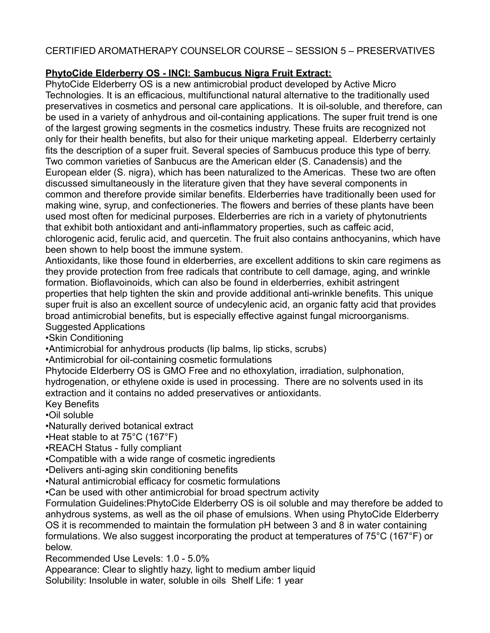# **PhytoCide Elderberry OS - INCI: Sambucus Nigra Fruit Extract:**

PhytoCide Elderberry OS is a new antimicrobial product developed by Active Micro Technologies. It is an efficacious, multifunctional natural alternative to the traditionally used preservatives in cosmetics and personal care applications. It is oil-soluble, and therefore, can be used in a variety of anhydrous and oil-containing applications. The super fruit trend is one of the largest growing segments in the cosmetics industry. These fruits are recognized not only for their health benefits, but also for their unique marketing appeal. Elderberry certainly fits the description of a super fruit. Several species of Sambucus produce this type of berry. Two common varieties of Sanbucus are the American elder (S. Canadensis) and the European elder (S. nigra), which has been naturalized to the Americas. These two are often discussed simultaneously in the literature given that they have several components in common and therefore provide similar benefits. Elderberries have traditionally been used for making wine, syrup, and confectioneries. The flowers and berries of these plants have been used most often for medicinal purposes. Elderberries are rich in a variety of phytonutrients that exhibit both antioxidant and anti-inflammatory properties, such as caffeic acid, chlorogenic acid, ferulic acid, and quercetin. The fruit also contains anthocyanins, which have been shown to help boost the immune system.

Antioxidants, like those found in elderberries, are excellent additions to skin care regimens as they provide protection from free radicals that contribute to cell damage, aging, and wrinkle formation. Bioflavoinoids, which can also be found in elderberries, exhibit astringent properties that help tighten the skin and provide additional anti-wrinkle benefits. This unique super fruit is also an excellent source of undecylenic acid, an organic fatty acid that provides broad antimicrobial benefits, but is especially effective against fungal microorganisms. Suggested Applications

•Skin Conditioning

•Antimicrobial for anhydrous products (lip balms, lip sticks, scrubs)

•Antimicrobial for oil-containing cosmetic formulations

Phytocide Elderberry OS is GMO Free and no ethoxylation, irradiation, sulphonation, hydrogenation, or ethylene oxide is used in processing. There are no solvents used in its extraction and it contains no added preservatives or antioxidants.

Key Benefits

•Oil soluble

•Naturally derived botanical extract

•Heat stable to at 75°C (167°F)

•REACH Status - fully compliant

•Compatible with a wide range of cosmetic ingredients

•Delivers anti-aging skin conditioning benefits

•Natural antimicrobial efficacy for cosmetic formulations

•Can be used with other antimicrobial for broad spectrum activity

Formulation Guidelines:PhytoCide Elderberry OS is oil soluble and may therefore be added to anhydrous systems, as well as the oil phase of emulsions. When using PhytoCide Elderberry OS it is recommended to maintain the formulation pH between 3 and 8 in water containing formulations. We also suggest incorporating the product at temperatures of 75°C (167°F) or below.

Recommended Use Levels: 1.0 - 5.0%

Appearance: Clear to slightly hazy, light to medium amber liquid Solubility: Insoluble in water, soluble in oils Shelf Life: 1 year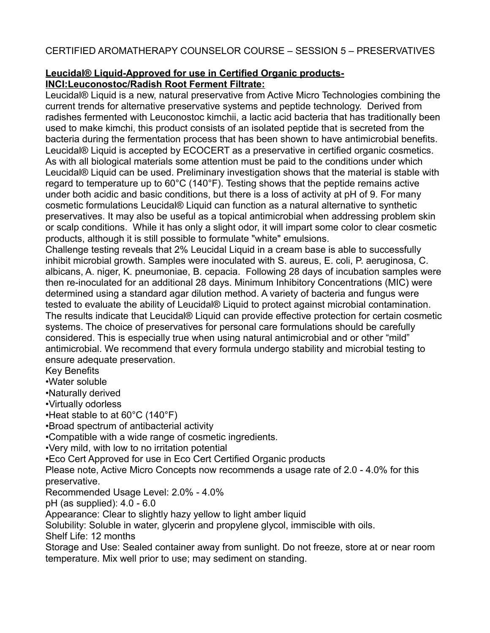# **Leucidal® Liquid-Approved for use in Certified Organic products-INCI:Leuconostoc/Radish Root Ferment Filtrate:**

Leucidal® Liquid is a new, natural preservative from Active Micro Technologies combining the current trends for alternative preservative systems and peptide technology. Derived from radishes fermented with Leuconostoc kimchii, a lactic acid bacteria that has traditionally been used to make kimchi, this product consists of an isolated peptide that is secreted from the bacteria during the fermentation process that has been shown to have antimicrobial benefits. Leucidal® Liquid is accepted by ECOCERT as a preservative in certified organic cosmetics. As with all biological materials some attention must be paid to the conditions under which Leucidal® Liquid can be used. Preliminary investigation shows that the material is stable with regard to temperature up to  $60^{\circ}$ C (140 $^{\circ}$ F). Testing shows that the peptide remains active under both acidic and basic conditions, but there is a loss of activity at pH of 9. For many cosmetic formulations Leucidal® Liquid can function as a natural alternative to synthetic preservatives. It may also be useful as a topical antimicrobial when addressing problem skin or scalp conditions. While it has only a slight odor, it will impart some color to clear cosmetic products, although it is still possible to formulate "white" emulsions.

Challenge testing reveals that 2% Leucidal Liquid in a cream base is able to successfully inhibit microbial growth. Samples were inoculated with S. aureus, E. coli, P. aeruginosa, C. albicans, A. niger, K. pneumoniae, B. cepacia. Following 28 days of incubation samples were then re-inoculated for an additional 28 days. Minimum Inhibitory Concentrations (MIC) were determined using a standard agar dilution method. A variety of bacteria and fungus were tested to evaluate the ability of Leucidal® Liquid to protect against microbial contamination. The results indicate that Leucidal® Liquid can provide effective protection for certain cosmetic systems. The choice of preservatives for personal care formulations should be carefully considered. This is especially true when using natural antimicrobial and or other "mild" antimicrobial. We recommend that every formula undergo stability and microbial testing to ensure adequate preservation.

Key Benefits

•Water soluble

•Naturally derived

•Virtually odorless

•Heat stable to at 60°C (140°F)

•Broad spectrum of antibacterial activity

•Compatible with a wide range of cosmetic ingredients.

•Very mild, with low to no irritation potential

•Eco Cert Approved for use in Eco Cert Certified Organic products

Please note, Active Micro Concepts now recommends a usage rate of 2.0 - 4.0% for this preservative.

Recommended Usage Level: 2.0% - 4.0%

pH (as supplied): 4.0 - 6.0

Appearance: Clear to slightly hazy yellow to light amber liquid

Solubility: Soluble in water, glycerin and propylene glycol, immiscible with oils.

Shelf Life: 12 months

Storage and Use: Sealed container away from sunlight. Do not freeze, store at or near room temperature. Mix well prior to use; may sediment on standing.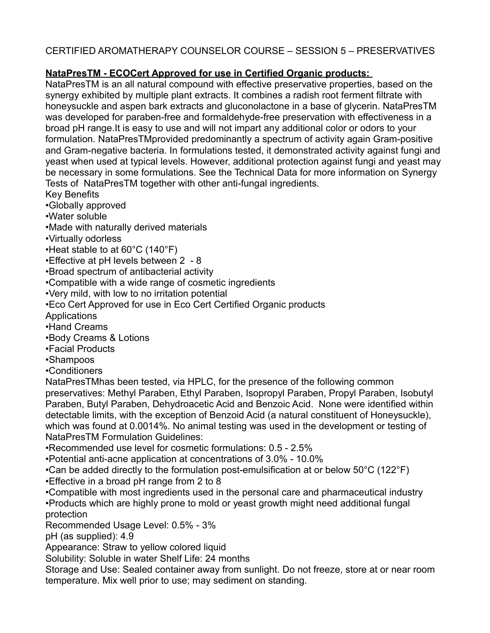# **NataPresTM - ECOCert Approved for use in Certified Organic products:**

NataPresTM is an all natural compound with effective preservative properties, based on the synergy exhibited by multiple plant extracts. It combines a radish root ferment filtrate with honeysuckle and aspen bark extracts and gluconolactone in a base of glycerin. NataPresTM was developed for paraben-free and formaldehyde-free preservation with effectiveness in a broad pH range.It is easy to use and will not impart any additional color or odors to your formulation. NataPresTMprovided predominantly a spectrum of activity again Gram-positive and Gram-negative bacteria. In formulations tested, it demonstrated activity against fungi and yeast when used at typical levels. However, additional protection against fungi and yeast may be necessary in some formulations. See the Technical Data for more information on Synergy Tests of NataPresTM together with other anti-fungal ingredients.

Key Benefits

•Globally approved

- •Water soluble
- •Made with naturally derived materials
- •Virtually odorless

•Heat stable to at 60°C (140°F)

- •Effective at pH levels between 2 8
- •Broad spectrum of antibacterial activity
- •Compatible with a wide range of cosmetic ingredients
- •Very mild, with low to no irritation potential
- •Eco Cert Approved for use in Eco Cert Certified Organic products

**Applications** 

- •Hand Creams
- •Body Creams & Lotions
- •Facial Products
- •Shampoos

•Conditioners

NataPresTMhas been tested, via HPLC, for the presence of the following common preservatives: Methyl Paraben, Ethyl Paraben, Isopropyl Paraben, Propyl Paraben, Isobutyl Paraben, Butyl Paraben, Dehydroacetic Acid and Benzoic Acid. None were identified within detectable limits, with the exception of Benzoid Acid (a natural constituent of Honeysuckle), which was found at 0.0014%. No animal testing was used in the development or testing of NataPresTM Formulation Guidelines:

•Recommended use level for cosmetic formulations: 0.5 - 2.5%

•Potential anti-acne application at concentrations of 3.0% - 10.0%

•Can be added directly to the formulation post-emulsification at or below 50°C (122°F)

•Effective in a broad pH range from 2 to 8

•Compatible with most ingredients used in the personal care and pharmaceutical industry •Products which are highly prone to mold or yeast growth might need additional fungal protection

Recommended Usage Level: 0.5% - 3%

pH (as supplied): 4.9

Appearance: Straw to yellow colored liquid

Solubility: Soluble in water Shelf Life: 24 months

Storage and Use: Sealed container away from sunlight. Do not freeze, store at or near room temperature. Mix well prior to use; may sediment on standing.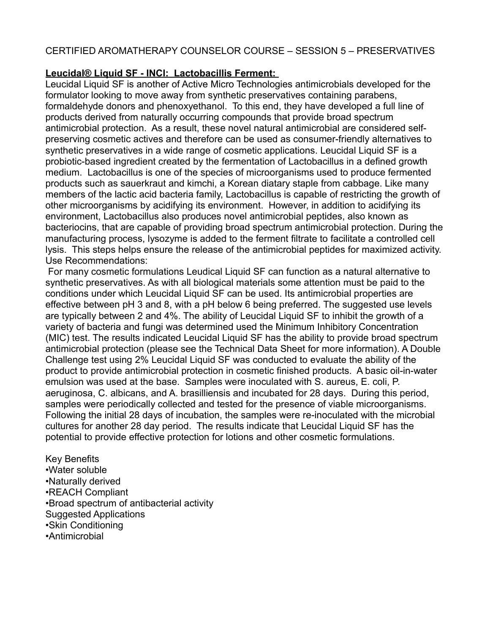# **Leucidal® Liquid SF - INCI: Lactobacillis Ferment:**

Leucidal Liquid SF is another of Active Micro Technologies antimicrobials developed for the formulator looking to move away from synthetic preservatives containing parabens, formaldehyde donors and phenoxyethanol. To this end, they have developed a full line of products derived from naturally occurring compounds that provide broad spectrum antimicrobial protection. As a result, these novel natural antimicrobial are considered selfpreserving cosmetic actives and therefore can be used as consumer-friendly alternatives to synthetic preservatives in a wide range of cosmetic applications. Leucidal Liquid SF is a probiotic-based ingredient created by the fermentation of Lactobacillus in a defined growth medium. Lactobacillus is one of the species of microorganisms used to produce fermented products such as sauerkraut and kimchi, a Korean diatary staple from cabbage. Like many members of the lactic acid bacteria family, Lactobacillus is capable of restricting the growth of other microorganisms by acidifying its environment. However, in addition to acidifying its environment, Lactobacillus also produces novel antimicrobial peptides, also known as bacteriocins, that are capable of providing broad spectrum antimicrobial protection. During the manufacturing process, lysozyme is added to the ferment filtrate to facilitate a controlled cell lysis. This steps helps ensure the release of the antimicrobial peptides for maximized activity. Use Recommendations:

 For many cosmetic formulations Leudical Liquid SF can function as a natural alternative to synthetic preservatives. As with all biological materials some attention must be paid to the conditions under which Leucidal Liquid SF can be used. Its antimicrobial properties are effective between pH 3 and 8, with a pH below 6 being preferred. The suggested use levels are typically between 2 and 4%. The ability of Leucidal Liquid SF to inhibit the growth of a variety of bacteria and fungi was determined used the Minimum Inhibitory Concentration (MIC) test. The results indicated Leucidal Liquid SF has the ability to provide broad spectrum antimicrobial protection (please see the Technical Data Sheet for more information). A Double Challenge test using 2% Leucidal Liquid SF was conducted to evaluate the ability of the product to provide antimicrobial protection in cosmetic finished products. A basic oil-in-water emulsion was used at the base. Samples were inoculated with S. aureus, E. coli, P. aeruginosa, C. albicans, and A. brasilliensis and incubated for 28 days. During this period, samples were periodically collected and tested for the presence of viable microorganisms. Following the initial 28 days of incubation, the samples were re-inoculated with the microbial cultures for another 28 day period. The results indicate that Leucidal Liquid SF has the potential to provide effective protection for lotions and other cosmetic formulations.

Key Benefits •Water soluble •Naturally derived •REACH Compliant •Broad spectrum of antibacterial activity Suggested Applications •Skin Conditioning •Antimicrobial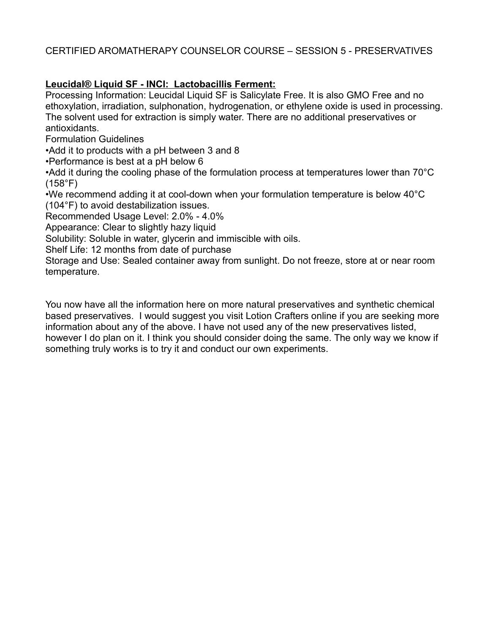# **Leucidal® Liquid SF - INCI: Lactobacillis Ferment:**

Processing Information: Leucidal Liquid SF is Salicylate Free. It is also GMO Free and no ethoxylation, irradiation, sulphonation, hydrogenation, or ethylene oxide is used in processing. The solvent used for extraction is simply water. There are no additional preservatives or antioxidants.

Formulation Guidelines

•Add it to products with a pH between 3 and 8

•Performance is best at a pH below 6

•Add it during the cooling phase of the formulation process at temperatures lower than 70°C (158°F)

•We recommend adding it at cool-down when your formulation temperature is below 40°C (104°F) to avoid destabilization issues.

Recommended Usage Level: 2.0% - 4.0%

Appearance: Clear to slightly hazy liquid

Solubility: Soluble in water, glycerin and immiscible with oils.

Shelf Life: 12 months from date of purchase

Storage and Use: Sealed container away from sunlight. Do not freeze, store at or near room temperature.

You now have all the information here on more natural preservatives and synthetic chemical based preservatives. I would suggest you visit Lotion Crafters online if you are seeking more information about any of the above. I have not used any of the new preservatives listed, however I do plan on it. I think you should consider doing the same. The only way we know if something truly works is to try it and conduct our own experiments.